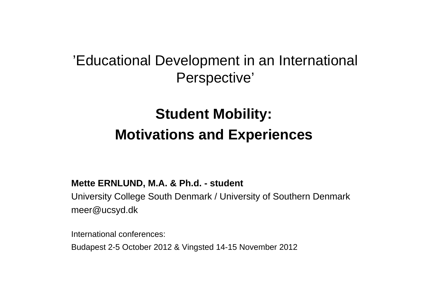### 'Educational Development in an International Perspective'

### **Student Mobility: Motivations and Experiences**

### **Mette ERNLUND, M.A. & Ph.d. - student**

University College South Denmark / University of Southern Denmark meer@ucsyd.dk

International conferences:

Budapest 2-5 October 2012 & Vingsted 14-15 November 2012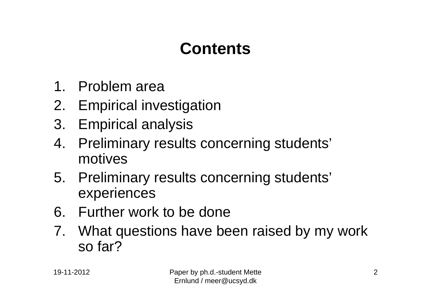## **Contents**

- 1. Problem area
- 2. Empirical investigation
- 3. Empirical analysis
- 4. Preliminary results concerning students' motives
- 5. Preliminary results concerning students' experiences
- 6. Further work to be done
- 7. What questions have been raised by my work so far?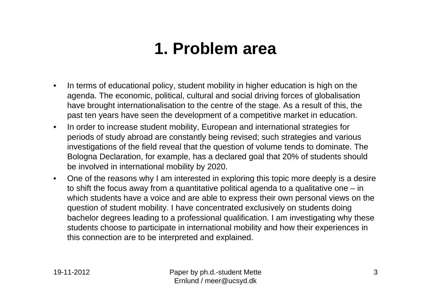### **1. Problem area**

- In terms of educational policy, student mobility in higher education is high on the agenda. The economic, political, cultural and social driving forces of globalisation have brought internationalisation to the centre of the stage. As a result of this, the past ten years have seen the development of a competitive market in education.
- In order to increase student mobility, European and international strategies for periods of study abroad are constantly being revised; such strategies and various investigations of the field reveal that the question of volume tends to dominate. The Bologna Declaration, for example, has a declared goal that 20% of students should be involved in international mobility by 2020.
- One of the reasons why I am interested in exploring this topic more deeply is a desire to shift the focus away from a quantitative political agenda to a qualitative one – in which students have a voice and are able to express their own personal views on the question of student mobility. I have concentrated exclusively on students doing bachelor degrees leading to a professional qualification. I am investigating why these students choose to participate in international mobility and how their experiences in this connection are to be interpreted and explained.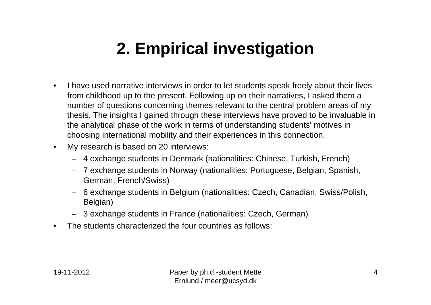# **2. Empirical investigation**

- I have used narrative interviews in order to let students speak freely about their lives from childhood up to the present. Following up on their narratives, I asked them a number of questions concerning themes relevant to the central problem areas of my thesis. The insights I gained through these interviews have proved to be invaluable in the analytical phase of the work in terms of understanding students' motives in choosing international mobility and their experiences in this connection.
- My research is based on 20 interviews:
	- 4 exchange students in Denmark (nationalities: Chinese, Turkish, French)
	- 7 exchange students in Norway (nationalities: Portuguese, Belgian, Spanish, German, French/Swiss)
	- 6 exchange students in Belgium (nationalities: Czech, Canadian, Swiss/Polish, Belgian)
	- 3 exchange students in France (nationalities: Czech, German)
- The students characterized the four countries as follows: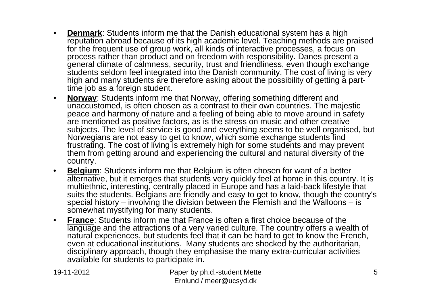- **Denmark:** Students inform me that the Danish educational system has a high reputation abroad because of its high academic level. Teaching methods are praised for the frequent use of group work, all kinds of interactive processes, a focus on process rather than product and on freedom with responsibility. Danes present a general climate of calmness, security, trust and friendliness, even though exchange students seldom feel integrated into the Danish community. The cost of living is very high and many students are therefore asking about the possibility of getting a parttime job as a foreign student.
- **Norway**: Students inform me that Norway, offering something different and unaccustomed, is often chosen as a contrast to their own countries. The majestic peace and harmony of nature and a feeling of being able to move around in safety are mentioned as positive factors, as is the stress on music and other creative subjects. The level of service is good and everything seems to be well organised, but Norwegians are not easy to get to know, which some exchange students find frustrating. The cost of living is extremely high for some students and may prevent them from getting around and experiencing the cultural and natural diversity of the country.
- **Belgium**: Students inform me that Belgium is often chosen for want of a better alternative, but it emerges that students very quickly feel at home in this country. It is multiethnic, interesting, centrally placed in Europe and has a laid-back lifestyle that suits the students. Belgians are friendly and easy to get to know, though the country's special history – involving the division between the Flemish and the Walloons – is somewhat mystifying for many students.
- **France**: Students inform me that France is often a first choice because of the language and the attractions of a very varied culture. The country offers a wealth of natural experiences, but students feel that it can be hard to get to know the French, even at educational institutions. Many students are shocked by the authoritarian, disciplinary approach, though they emphasise the many extra-curricular activities available for students to participate in.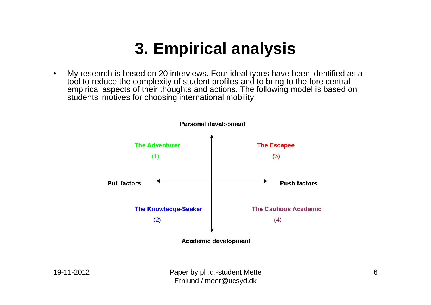### **3. Empirical analysis**

• My research is based on 20 interviews. Four ideal types have been identified as a tool to reduce the complexity of student profiles and to bring to the fore central empirical aspects of their thoughts and actions. The following model is based on students' motives for choosing international mobility.



**Personal development** 

 Paper by ph.d.-student Mette Ernlund / meer@ucsyd.dk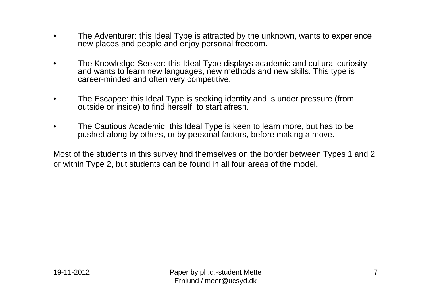- The Adventurer: this Ideal Type is attracted by the unknown, wants to experience new places and people and enjoy personal freedom.
- The Knowledge-Seeker: this Ideal Type displays academic and cultural curiosity and wants to learn new languages, new methods and new skills. This type is career-minded and often very competitive.
- The Escapee: this Ideal Type is seeking identity and is under pressure (from outside or inside) to find herself, to start afresh.
- The Cautious Academic: this Ideal Type is keen to learn more, but has to be pushed along by others, or by personal factors, before making a move.

Most of the students in this survey find themselves on the border between Types 1 and 2 or within Type 2, but students can be found in all four areas of the model.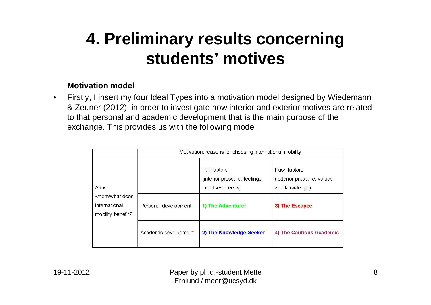### **4. Preliminary results concerning students' motives**

### **Motivation model**

• Firstly, I insert my four Ideal Types into a motivation model designed by Wiedemann & Zeuner (2012), in order to investigate how interior and exterior motives are related to that personal and academic development that is the main purpose of the exchange. This provides us with the following model:

|                                                               | Motivation: reasons for choosing international mobility |                                                                   |                                                              |
|---------------------------------------------------------------|---------------------------------------------------------|-------------------------------------------------------------------|--------------------------------------------------------------|
| Aims:<br>whom/what does<br>international<br>mobility benefit? |                                                         | Pull factors<br>(interior pressure: feelings,<br>impulses, needs) | Push factors<br>(exterior pressure: values<br>and knowledge) |
|                                                               | Personal development                                    | 1) The Adventurer                                                 | 3) The Escapee                                               |
|                                                               | Academic development                                    | 2) The Knowledge-Seeker                                           | 4) The Cautious Academic                                     |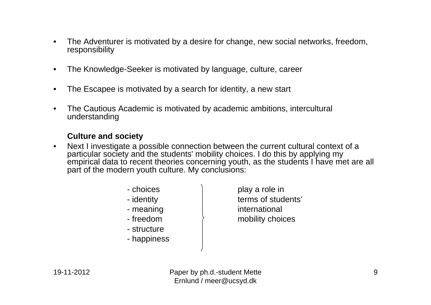- The Adventurer is motivated by a desire for change, new social networks, freedom, responsibility
- The Knowledge-Seeker is motivated by language, culture, career
- The Escapee is motivated by a search for identity, a new start
- The Cautious Academic is motivated by academic ambitions, intercultural understanding

#### **Culture and society**

- Next I investigate a possible connection between the current cultural context of a particular society and the students' mobility choices. I do this by applying my empirical data to recent theories concerning youth, as the students I have met are all part of the modern youth culture. My conclusions:
	-
	-
	-
	-
	- structure
	- happiness

- choices and play a role in - identity and terms of students' - meaning and international - freedom  $\rangle$  mobility choices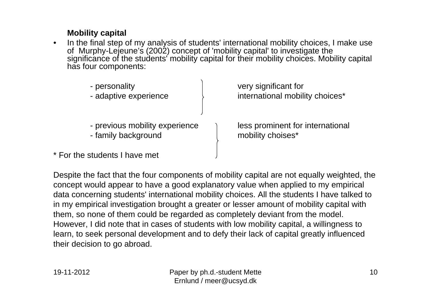#### **Mobility capital**

• In the final step of my analysis of students' international mobility choices, I make use of Murphy-Lejeune's (2002) concept of 'mobility capital' to investigate the significance of the students' mobility capital for their mobility choices. Mobility capital has four components:



Despite the fact that the four components of mobility capital are not equally weighted, the concept would appear to have a good explanatory value when applied to my empirical data concerning students' international mobility choices. All the students I have talked to in my empirical investigation brought a greater or lesser amount of mobility capital with them, so none of them could be regarded as completely deviant from the model. However, I did note that in cases of students with low mobility capital, a willingness to learn, to seek personal development and to defy their lack of capital greatly influenced their decision to go abroad.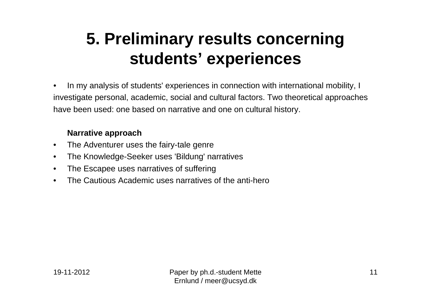## **5. Preliminary results concerning students' experiences**

• In my analysis of students' experiences in connection with international mobility, I investigate personal, academic, social and cultural factors. Two theoretical approaches have been used: one based on narrative and one on cultural history.

#### **Narrative approach**

- The Adventurer uses the fairy-tale genre
- The Knowledge-Seeker uses 'Bildung' narratives
- The Escapee uses narratives of suffering
- The Cautious Academic uses narratives of the anti-hero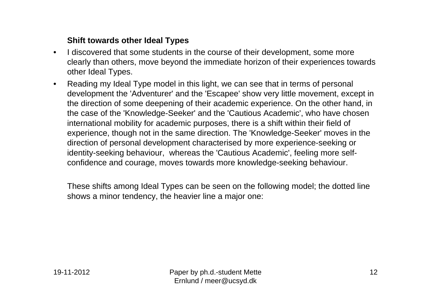### **Shift towards other Ideal Types**

- I discovered that some students in the course of their development, some more clearly than others, move beyond the immediate horizon of their experiences towards other Ideal Types.
- Reading my Ideal Type model in this light, we can see that in terms of personal development the 'Adventurer' and the 'Escapee' show very little movement, except in the direction of some deepening of their academic experience. On the other hand, in the case of the 'Knowledge-Seeker' and the 'Cautious Academic', who have chosen international mobility for academic purposes, there is a shift within their field of experience, though not in the same direction. The 'Knowledge-Seeker' moves in the direction of personal development characterised by more experience-seeking or identity-seeking behaviour, whereas the 'Cautious Academic', feeling more selfconfidence and courage, moves towards more knowledge-seeking behaviour.

These shifts among Ideal Types can be seen on the following model; the dotted line shows a minor tendency, the heavier line a major one: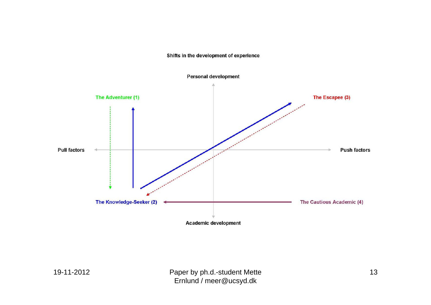Shifts in the development of experience



 Paper by ph.d.-student Mette Ernlund / meer@ucsyd.dk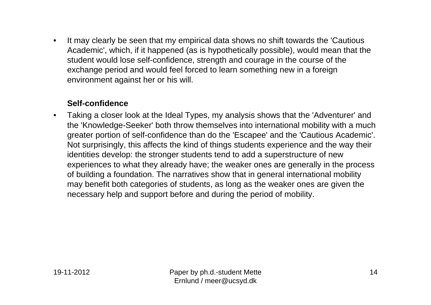• It may clearly be seen that my empirical data shows no shift towards the 'Cautious Academic', which, if it happened (as is hypothetically possible), would mean that the student would lose self-confidence, strength and courage in the course of the exchange period and would feel forced to learn something new in a foreign environment against her or his will.

#### **Self-confidence**

• Taking a closer look at the Ideal Types, my analysis shows that the 'Adventurer' and the 'Knowledge-Seeker' both throw themselves into international mobility with a much greater portion of self-confidence than do the 'Escapee' and the 'Cautious Academic'. Not surprisingly, this affects the kind of things students experience and the way their identities develop: the stronger students tend to add a superstructure of new experiences to what they already have; the weaker ones are generally in the process of building a foundation. The narratives show that in general international mobility may benefit both categories of students, as long as the weaker ones are given the necessary help and support before and during the period of mobility.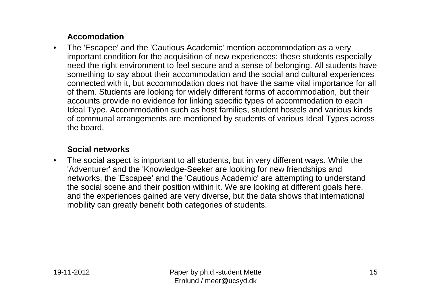### **Accomodation**

• The 'Escapee' and the 'Cautious Academic' mention accommodation as a very important condition for the acquisition of new experiences; these students especially need the right environment to feel secure and a sense of belonging. All students have something to say about their accommodation and the social and cultural experiences connected with it, but accommodation does not have the same vital importance for all of them. Students are looking for widely different forms of accommodation, but their accounts provide no evidence for linking specific types of accommodation to each Ideal Type. Accommodation such as host families, student hostels and various kinds of communal arrangements are mentioned by students of various Ideal Types across the board.

#### **Social networks**

• The social aspect is important to all students, but in very different ways. While the 'Adventurer' and the 'Knowledge-Seeker are looking for new friendships and networks, the 'Escapee' and the 'Cautious Academic' are attempting to understand the social scene and their position within it. We are looking at different goals here, and the experiences gained are very diverse, but the data shows that international mobility can greatly benefit both categories of students.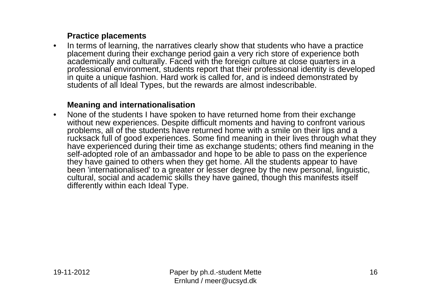#### **Practice placements**

• In terms of learning, the narratives clearly show that students who have a practice placement during their exchange period gain a very rich store of experience both academically and culturally. Faced with the foreign culture at close quarters in a professional environment, students report that their professional identity is developed in quite a unique fashion. Hard work is called for, and is indeed demonstrated by students of all Ideal Types, but the rewards are almost indescribable.

#### **Meaning and internationalisation**

• None of the students I have spoken to have returned home from their exchange without new experiences. Despite difficult moments and having to confront various problems, all of the students have returned home with a smile on their lips and a rucksack full of good experiences. Some find meaning in their lives through what they have experienced during their time as exchange students; others find meaning in the self-adopted role of an ambassador and hope to be able to pass on the experience they have gained to others when they get home. All the students appear to have been 'internationalised' to a greater or lesser degree by the new personal, linguistic, cultural, social and academic skills they have gained, though this manifests itself differently within each Ideal Type.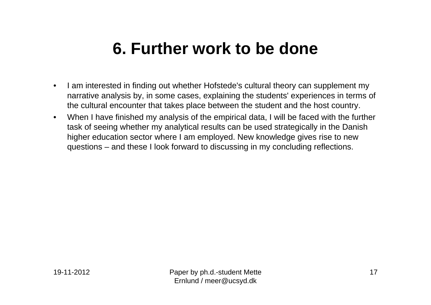### **6. Further work to be done**

- I am interested in finding out whether Hofstede's cultural theory can supplement my narrative analysis by, in some cases, explaining the students' experiences in terms of the cultural encounter that takes place between the student and the host country.
- When I have finished my analysis of the empirical data, I will be faced with the further task of seeing whether my analytical results can be used strategically in the Danish higher education sector where I am employed. New knowledge gives rise to new questions – and these I look forward to discussing in my concluding reflections.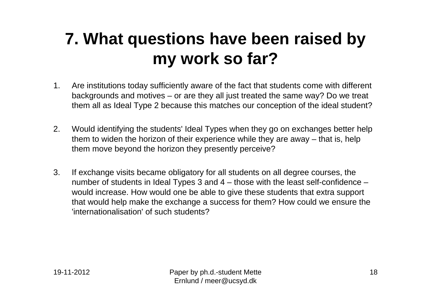### **7. What questions have been raised by my work so far?**

- 1. Are institutions today sufficiently aware of the fact that students come with different backgrounds and motives – or are they all just treated the same way? Do we treat them all as Ideal Type 2 because this matches our conception of the ideal student?
- 2. Would identifying the students' Ideal Types when they go on exchanges better help them to widen the horizon of their experience while they are away – that is, help them move beyond the horizon they presently perceive?
- 3. If exchange visits became obligatory for all students on all degree courses, the number of students in Ideal Types 3 and 4 – those with the least self-confidence – would increase. How would one be able to give these students that extra support that would help make the exchange a success for them? How could we ensure the 'internationalisation' of such students?